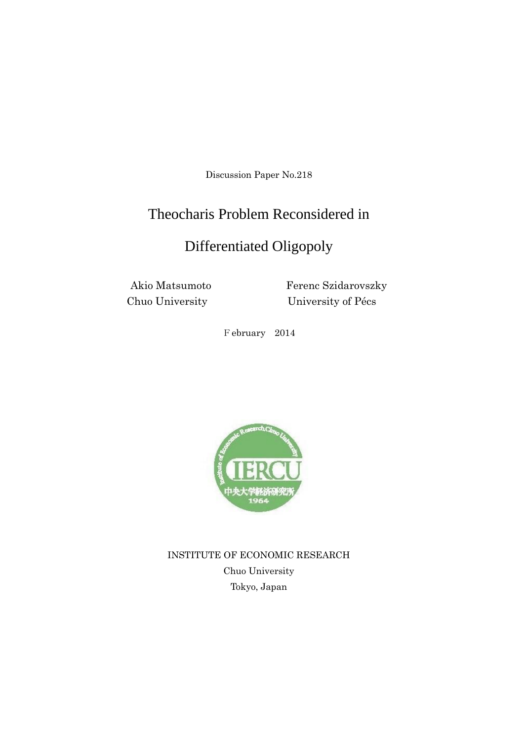Discussion Paper No.218

# Theocharis Problem Reconsidered in

# Differentiated Oligopoly

Akio Matsumoto Ferenc Szidarovszky Chuo University University of Pécs

February 2014



INSTITUTE OF ECONOMIC RESEARCH Chuo University Tokyo, Japan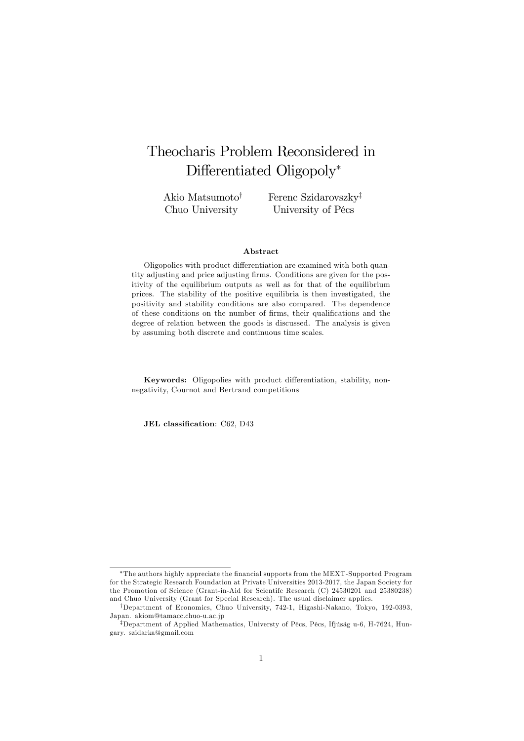# Theocharis Problem Reconsidered in Differentiated Oligopoly\*

Akio Matsumoto<sup>†</sup> Chuo University

Ferenc Szidarovszky<sup>‡</sup> University of Pécs

#### Abstract

Oligopolies with product differentiation are examined with both quantity adjusting and price adjusting firms. Conditions are given for the positivity of the equilibrium outputs as well as for that of the equilibrium prices. The stability of the positive equilibria is then investigated, the positivity and stability conditions are also compared. The dependence of these conditions on the number of firms, their qualifications and the degree of relation between the goods is discussed. The analysis is given by assuming both discrete and continuous time scales.

Keywords: Oligopolies with product differentiation, stability, nonnegativity, Cournot and Bertrand competitions

JEL classification: C62, D43

The authors highly appreciate the Önancial supports from the MEXT-Supported Program for the Strategic Research Foundation at Private Universities 2013-2017, the Japan Society for the Promotion of Science (Grant-in-Aid for Scientifc Research (C) 24530201 and 25380238) and Chuo University (Grant for Special Research). The usual disclaimer applies.

<sup>&</sup>lt;sup>†</sup>Department of Economics, Chuo University, 742-1, Higashi-Nakano, Tokyo, 192-0393, Japan. akiom@tamacc.chuo-u.ac.jp

<sup>&</sup>lt;sup>‡</sup>Department of Applied Mathematics, Universty of Pécs, Pécs, Ifjúság u-6, H-7624, Hungary. szidarka@gmail.com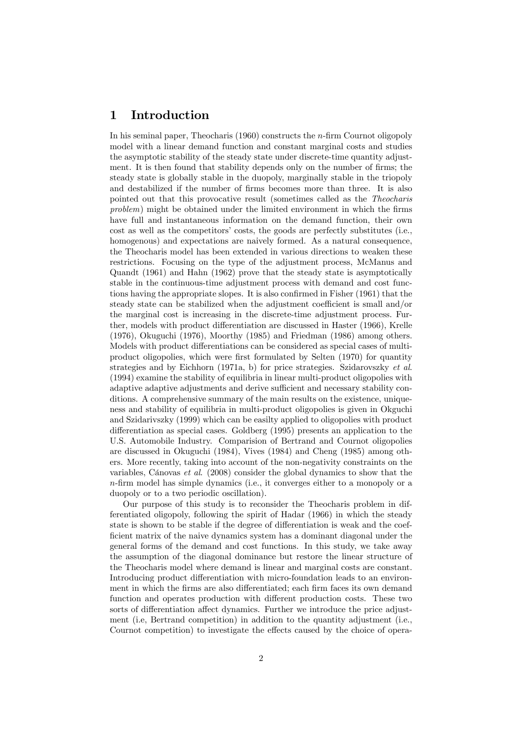## 1 Introduction

In his seminal paper, Theocharis  $(1960)$  constructs the *n*-firm Cournot oligopoly model with a linear demand function and constant marginal costs and studies the asymptotic stability of the steady state under discrete-time quantity adjustment. It is then found that stability depends only on the number of firms; the steady state is globally stable in the duopoly, marginally stable in the triopoly and destabilized if the number of firms becomes more than three. It is also pointed out that this provocative result (sometimes called as the Theocharis  $problem)$  might be obtained under the limited environment in which the firms have full and instantaneous information on the demand function, their own cost as well as the competitors' costs, the goods are perfectly substitutes (i.e., homogenous) and expectations are naively formed. As a natural consequence, the Theocharis model has been extended in various directions to weaken these restrictions. Focusing on the type of the adjustment process, McManus and Quandt (1961) and Hahn (1962) prove that the steady state is asymptotically stable in the continuous-time adjustment process with demand and cost functions having the appropriate slopes. It is also confirmed in Fisher  $(1961)$  that the steady state can be stabilized when the adjustment coefficient is small and/or the marginal cost is increasing in the discrete-time adjustment process. Further, models with product differentiation are discussed in Haster (1966), Krelle (1976), Okuguchi (1976), Moorthy (1985) and Friedman (1986) among others. Models with product differentiations can be considered as special cases of multiproduct oligopolies, which were first formulated by Selten (1970) for quantity strategies and by Eichhorn (1971a, b) for price strategies. Szidarovszky et al. (1994) examine the stability of equilibria in linear multi-product oligopolies with adaptive adaptive adjustments and derive sufficient and necessary stability conditions. A comprehensive summary of the main results on the existence, uniqueness and stability of equilibria in multi-product oligopolies is given in Okguchi and Szidarivszky (1999) which can be easilty applied to oligopolies with product differentiation as special cases. Goldberg (1995) presents an application to the U.S. Automobile Industry. Comparision of Bertrand and Cournot oligopolies are discussed in Okuguchi (1984), Vives (1984) and Cheng (1985) among others. More recently, taking into account of the non-negativity constraints on the variables, Cánovas et al.  $(2008)$  consider the global dynamics to show that the  $n$ -firm model has simple dynamics (i.e., it converges either to a monopoly or a duopoly or to a two periodic oscillation).

Our purpose of this study is to reconsider the Theocharis problem in differentiated oligopoly, following the spirit of Hadar (1966) in which the steady state is shown to be stable if the degree of differentiation is weak and the coefficient matrix of the naive dynamics system has a dominant diagonal under the general forms of the demand and cost functions. In this study, we take away the assumption of the diagonal dominance but restore the linear structure of the Theocharis model where demand is linear and marginal costs are constant. Introducing product differentiation with micro-foundation leads to an environment in which the firms are also differentiated; each firm faces its own demand function and operates production with different production costs. These two sorts of differentiation affect dynamics. Further we introduce the price adjustment (i.e, Bertrand competition) in addition to the quantity adjustment (i.e., Cournot competition) to investigate the effects caused by the choice of opera-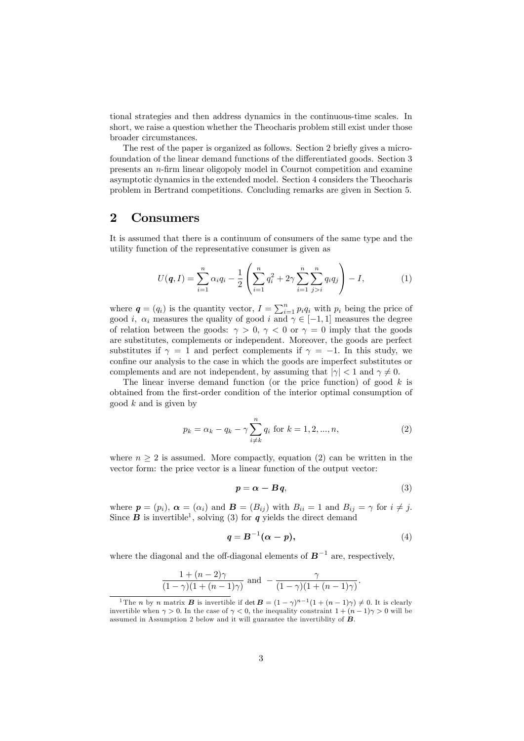tional strategies and then address dynamics in the continuous-time scales. In short, we raise a question whether the Theocharis problem still exist under those broader circumstances.

The rest of the paper is organized as follows. Section 2 briefly gives a microfoundation of the linear demand functions of the differentiated goods. Section 3 presents an n-Örm linear oligopoly model in Cournot competition and examine asymptotic dynamics in the extended model. Section 4 considers the Theocharis problem in Bertrand competitions. Concluding remarks are given in Section 5.

## 2 Consumers

It is assumed that there is a continuum of consumers of the same type and the utility function of the representative consumer is given as

$$
U(q, I) = \sum_{i=1}^{n} \alpha_i q_i - \frac{1}{2} \left( \sum_{i=1}^{n} q_i^2 + 2\gamma \sum_{i=1}^{n} \sum_{j>i}^{n} q_i q_j \right) - I, \qquad (1)
$$

where  $q = (q_i)$  is the quantity vector,  $I = \sum_{i=1}^n p_i q_i$  with  $p_i$  being the price of good *i*,  $\alpha_i$  measures the quality of good *i* and  $\gamma \in [-1, 1]$  measures the degree of relation between the goods:  $\gamma > 0$ ,  $\gamma < 0$  or  $\gamma = 0$  imply that the goods are substitutes, complements or independent. Moreover, the goods are perfect substitutes if  $\gamma = 1$  and perfect complements if  $\gamma = -1$ . In this study, we confine our analysis to the case in which the goods are imperfect substitutes or complements and are not independent, by assuming that  $|\gamma| < 1$  and  $\gamma \neq 0$ .

The linear inverse demand function (or the price function) of good  $k$  is obtained from the Örst-order condition of the interior optimal consumption of good  $k$  and is given by

$$
p_k = \alpha_k - q_k - \gamma \sum_{i \neq k}^{n} q_i \text{ for } k = 1, 2, ..., n,
$$
 (2)

where  $n > 2$  is assumed. More compactly, equation (2) can be written in the vector form: the price vector is a linear function of the output vector:

$$
p = \alpha - Bq, \tag{3}
$$

where  $p = (p_i)$ ,  $\alpha = (\alpha_i)$  and  $\mathbf{B} = (B_{ij})$  with  $B_{ii} = 1$  and  $B_{ij} = \gamma$  for  $i \neq j$ . Since **B** is invertible<sup>1</sup>, solving (3) for **q** yields the direct demand

$$
q = B^{-1}(\alpha - p), \tag{4}
$$

where the diagonal and the off-diagonal elements of  $B^{-1}$  are, respectively,

$$
\frac{1+(n-2)\gamma}{(1-\gamma)(1+(n-1)\gamma)} \text{ and } -\frac{\gamma}{(1-\gamma)(1+(n-1)\gamma)}.
$$

<sup>&</sup>lt;sup>1</sup>The *n* by *n* matrix *B* is invertible if  $\det \mathbf{B} = (1 - \gamma)^{n-1}(1 + (n-1)\gamma) \neq 0$ . It is clearly invertible when  $\gamma > 0$ . In the case of  $\gamma < 0$ , the inequality constraint  $1 + (n-1)\gamma > 0$  will be assumed in Assumption 2 below and it will guarantee the invertiblity of  $\boldsymbol{B}$ .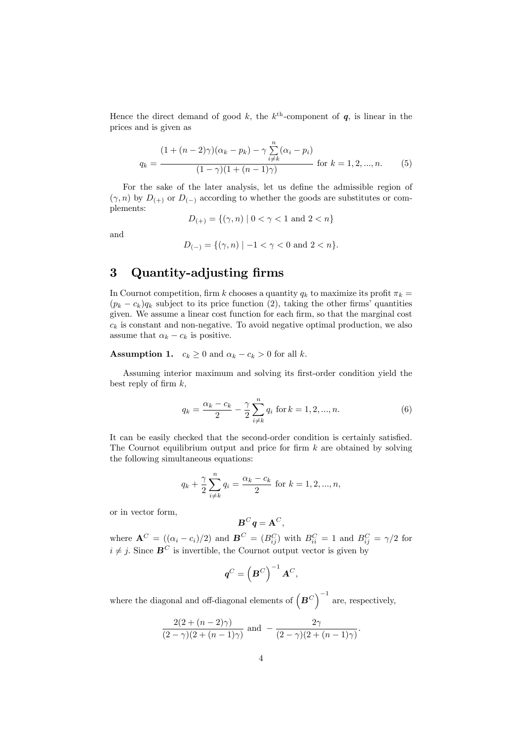Hence the direct demand of good k, the  $k^{\text{th}}$ -component of  $q$ , is linear in the prices and is given as

$$
q_k = \frac{(1 + (n-2)\gamma)(\alpha_k - p_k) - \gamma \sum_{i \neq k}^n (\alpha_i - p_i)}{(1 - \gamma)(1 + (n-1)\gamma)}
$$
 for  $k = 1, 2, ..., n$ . (5)

For the sake of the later analysis, let us define the admissible region of  $(\gamma, n)$  by  $D_{(+)}$  or  $D_{(-)}$  according to whether the goods are substitutes or complements:

$$
D_{(+)} = \{ (\gamma, n) \mid 0 < \gamma < 1 \text{ and } 2 < n \}
$$

and

$$
D_{(-)} = \{ (\gamma, n) \mid -1 < \gamma < 0 \text{ and } 2 < n \}.
$$

# 3 Quantity-adjusting firms

In Cournot competition, firm k chooses a quantity  $q_k$  to maximize its profit  $\pi_k =$  $(p_k - c_k)q_k$  subject to its price function (2), taking the other firms' quantities given. We assume a linear cost function for each firm, so that the marginal cost  $c_k$  is constant and non-negative. To avoid negative optimal production, we also assume that  $\alpha_k - c_k$  is positive.

**Assumption 1.**  $c_k \geq 0$  and  $\alpha_k - c_k > 0$  for all k.

Assuming interior maximum and solving its first-order condition yield the best reply of firm  $k$ ,

$$
q_k = \frac{\alpha_k - c_k}{2} - \frac{\gamma}{2} \sum_{i \neq k}^{n} q_i \text{ for } k = 1, 2, ..., n.
$$
 (6)

It can be easily checked that the second-order condition is certainly satisfied. The Cournot equilibrium output and price for firm  $k$  are obtained by solving the following simultaneous equations:

$$
q_k + \frac{\gamma}{2} \sum_{i \neq k}^{n} q_i = \frac{\alpha_k - c_k}{2} \text{ for } k = 1, 2, ..., n,
$$

or in vector form,

$$
\boldsymbol{B}^C\boldsymbol{q}=\boldsymbol{A}^C,
$$

where  $\mathbf{A}^C = ((\alpha_i - c_i)/2)$  and  $\mathbf{B}^C = (B_{ij}^C)$  with  $B_{ii}^C = 1$  and  $B_{ij}^C = \gamma/2$  for  $i \neq j$ . Since  $\mathbf{B}^C$  is invertible, the Cournot output vector is given by

$$
\boldsymbol{q}^C = \left(\boldsymbol{B}^C\right)^{-1}\boldsymbol{A}^C,
$$

where the diagonal and off-diagonal elements of  $(B^C)^{-1}$  are, respectively,

$$
\frac{2(2+(n-2)\gamma)}{(2-\gamma)(2+(n-1)\gamma)}
$$
 and 
$$
-\frac{2\gamma}{(2-\gamma)(2+(n-1)\gamma)}
$$
.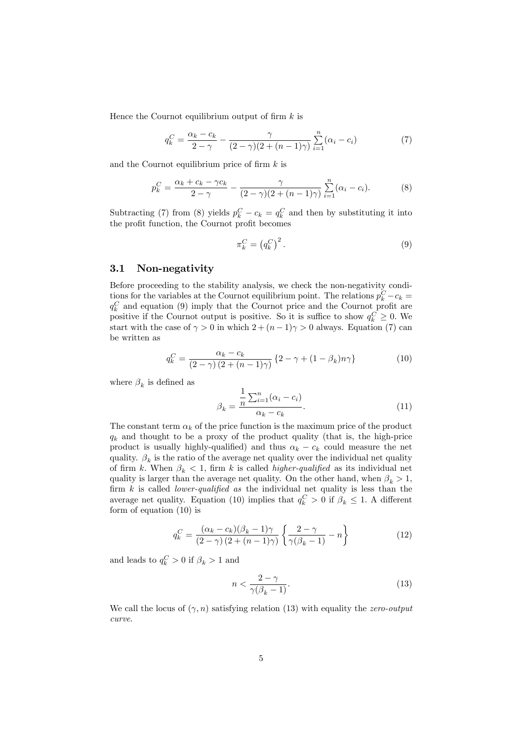Hence the Cournot equilibrium output of firm  $k$  is

$$
q_k^C = \frac{\alpha_k - c_k}{2 - \gamma} - \frac{\gamma}{(2 - \gamma)(2 + (n - 1)\gamma)} \sum_{i=1}^n (\alpha_i - c_i)
$$
 (7)

and the Cournot equilibrium price of firm  $k$  is

$$
p_k^C = \frac{\alpha_k + c_k - \gamma c_k}{2 - \gamma} - \frac{\gamma}{(2 - \gamma)(2 + (n - 1)\gamma)} \sum_{i=1}^n (\alpha_i - c_i).
$$
 (8)

Subtracting (7) from (8) yields  $p_k^C - c_k = q_k^C$  and then by substituting it into the profit function, the Cournot profit becomes

$$
\pi_k^C = \left(q_k^C\right)^2. \tag{9}
$$

## 3.1 Non-negativity

Before proceeding to the stability analysis, we check the non-negativity conditions for the variables at the Cournot equilibrium point. The relations  $p_k^C - c_k =$  $q_k^C$  and equation (9) imply that the Cournot price and the Cournot profit are positive if the Cournot output is positive. So it is suffice to show  $q_k^C \geq 0$ . We start with the case of  $\gamma > 0$  in which  $2 + (n - 1)\gamma > 0$  always. Equation (7) can be written as

$$
q_k^C = \frac{\alpha_k - c_k}{(2 - \gamma)(2 + (n - 1)\gamma)} \left\{ 2 - \gamma + (1 - \beta_k)n\gamma \right\}
$$
 (10)

where  $\beta_k$  is defined as

$$
\beta_k = \frac{\frac{1}{n} \sum_{i=1}^n (\alpha_i - c_i)}{\alpha_k - c_k}.
$$
\n(11)

The constant term  $\alpha_k$  of the price function is the maximum price of the product  $q_k$  and thought to be a proxy of the product quality (that is, the high-price product is usually highly-qualified) and thus  $\alpha_k - c_k$  could measure the net quality.  $\beta_k$  is the ratio of the average net quality over the individual net quality of firm k. When  $\beta_k < 1$ , firm k is called *higher-qualified* as its individual net quality is larger than the average net quality. On the other hand, when  $\beta_k > 1$ , firm  $k$  is called *lower-qualified as* the individual net quality is less than the average net quality. Equation (10) implies that  $q_k^C > 0$  if  $\beta_k \leq 1$ . A different form of equation (10) is

$$
q_k^C = \frac{(\alpha_k - c_k)(\beta_k - 1)\gamma}{(2 - \gamma)(2 + (n - 1)\gamma)} \left\{ \frac{2 - \gamma}{\gamma(\beta_k - 1)} - n \right\}
$$
(12)

and leads to  $q_k^C > 0$  if  $\beta_k > 1$  and

$$
n < \frac{2 - \gamma}{\gamma(\beta_k - 1)}.\tag{13}
$$

We call the locus of  $(\gamma, n)$  satisfying relation (13) with equality the *zero-output* curve.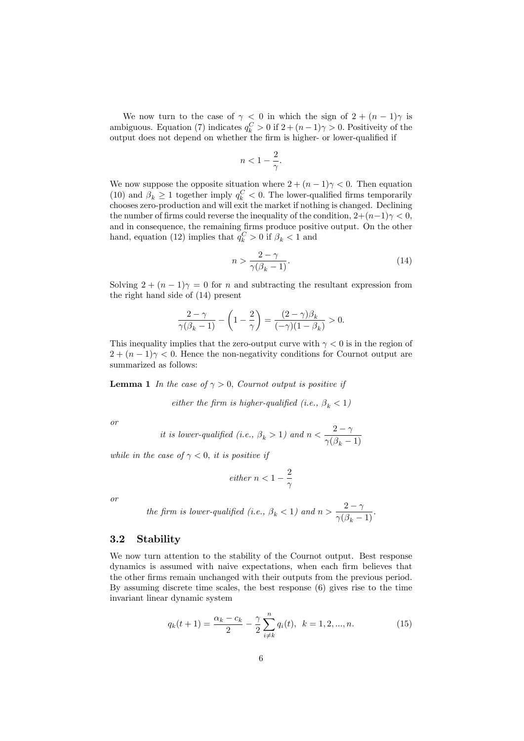We now turn to the case of  $\gamma < 0$  in which the sign of  $2 + (n - 1)\gamma$  is ambiguous. Equation (7) indicates  $q_k^C > 0$  if  $2 + (n-1)\gamma > 0$ . Positiveity of the output does not depend on whether the firm is higher- or lower-qualified if

$$
n<1-\frac{2}{\gamma}.
$$

We now suppose the opposite situation where  $2 + (n - 1)\gamma < 0$ . Then equation (10) and  $\beta_k \ge 1$  together imply  $q_k^C < 0$ . The lower-qualified firms temporarily chooses zero-production and will exit the market if nothing is changed. Declining the number of firms could reverse the inequality of the condition,  $2+(n-1)\gamma < 0$ , and in consequence, the remaining firms produce positive output. On the other hand, equation (12) implies that  $q_k^C > 0$  if  $\beta_k < 1$  and

$$
n > \frac{2 - \gamma}{\gamma(\beta_k - 1)}.\tag{14}
$$

Solving  $2 + (n - 1)\gamma = 0$  for *n* and subtracting the resultant expression from the right hand side of (14) present

$$
\frac{2-\gamma}{\gamma(\beta_k-1)} - \left(1-\frac{2}{\gamma}\right) = \frac{(2-\gamma)\beta_k}{(-\gamma)(1-\beta_k)} > 0.
$$

This inequality implies that the zero-output curve with  $\gamma < 0$  is in the region of  $2 + (n - 1)\gamma < 0$ . Hence the non-negativity conditions for Cournot output are summarized as follows:

**Lemma 1** In the case of  $\gamma > 0$ , Cournot output is positive if

either the firm is higher-qualified (i.e.,  $\beta_k < 1$ )

or

it is lower-qualified (i.e., 
$$
\beta_k > 1
$$
) and  $n < \frac{2-\gamma}{\gamma(\beta_k - 1)}$ 

while in the case of  $\gamma < 0$ , it is positive if

$$
either \; n < 1 - \frac{2}{\gamma}
$$

or

the firm is lower-qualified (i.e., 
$$
\beta_k < 1
$$
) and  $n > \frac{2-\gamma}{\gamma(\beta_k - 1)}$ .

## 3.2 Stability

We now turn attention to the stability of the Cournot output. Best response dynamics is assumed with naive expectations, when each firm believes that the other Örms remain unchanged with their outputs from the previous period. By assuming discrete time scales, the best response (6) gives rise to the time invariant linear dynamic system

$$
q_k(t+1) = \frac{\alpha_k - c_k}{2} - \frac{\gamma}{2} \sum_{i \neq k}^{n} q_i(t), \ \ k = 1, 2, ..., n. \tag{15}
$$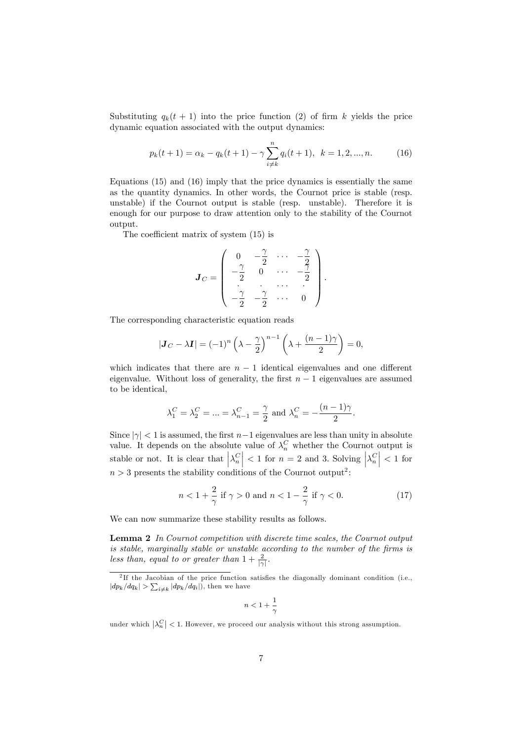Substituting  $q_k(t + 1)$  into the price function (2) of firm k yields the price dynamic equation associated with the output dynamics:

$$
p_k(t+1) = \alpha_k - q_k(t+1) - \gamma \sum_{i \neq k}^{n} q_i(t+1), \ \ k = 1, 2, ..., n. \tag{16}
$$

Equations (15) and (16) imply that the price dynamics is essentially the same as the quantity dynamics: In other words, the Cournot price is stable (resp. unstable) if the Cournot output is stable (resp. unstable). Therefore it is enough for our purpose to draw attention only to the stability of the Cournot output.

The coefficient matrix of system  $(15)$  is

$$
\boldsymbol{J}_C = \left( \begin{array}{cccc} 0 & -\frac{\gamma}{2} & \cdots & -\frac{\gamma}{2} \\ -\frac{\gamma}{2} & 0 & \cdots & -\frac{\gamma}{2} \\ \vdots & \vdots & \cdots & \vdots \\ -\frac{\gamma}{2} & -\frac{\gamma}{2} & \cdots & 0 \end{array} \right).
$$

The corresponding characteristic equation reads

$$
|\mathbf{J}_C - \lambda \mathbf{I}| = (-1)^n \left(\lambda - \frac{\gamma}{2}\right)^{n-1} \left(\lambda + \frac{(n-1)\gamma}{2}\right) = 0,
$$

which indicates that there are  $n-1$  identical eigenvalues and one different eigenvalue. Without loss of generality, the first  $n - 1$  eigenvalues are assumed to be identical,

$$
\lambda_1^C = \lambda_2^C = ... = \lambda_{n-1}^C = \frac{\gamma}{2}
$$
 and  $\lambda_n^C = -\frac{(n-1)\gamma}{2}$ .

Since  $|\gamma| < 1$  is assumed, the first  $n-1$  eigenvalues are less than unity in absolute value. It depends on the absolute value of  $\lambda_n^C$  whether the Cournot output is stable or not. It is clear that  $\left|\lambda_n^C\right| < 1$  for  $n = 2$  and 3. Solving  $\left|\lambda_n^C\right| < 1$  for  $n > 3$  presents the stability conditions of the Cournot output<sup>2</sup>:

$$
n < 1 + \frac{2}{\gamma} \text{ if } \gamma > 0 \text{ and } n < 1 - \frac{2}{\gamma} \text{ if } \gamma < 0.
$$
 (17)

We can now summarize these stability results as follows.

Lemma 2 In Cournot competition with discrete time scales, the Cournot output is stable, marginally stable or unstable according to the number of the firms is less than, equal to or greater than  $1 + \frac{2}{|\gamma|}$ .

$$
n<1+\frac{1}{\gamma}
$$

under which  $\left|\lambda_n^C\right| < 1$ . However, we proceed our analysis without this strong assumption.

<sup>&</sup>lt;sup>2</sup>If the Jacobian of the price function satisfies the diagonally dominant condition (i.e.,  $|dp_k/dq_k| > \sum_{i \neq k} |dp_k/dq_i|$ , then we have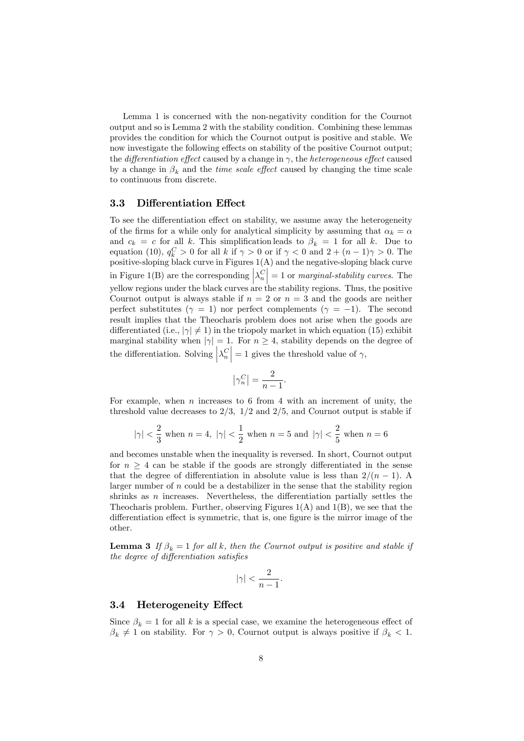Lemma 1 is concerned with the non-negativity condition for the Cournot output and so is Lemma 2 with the stability condition. Combining these lemmas provides the condition for which the Cournot output is positive and stable. We now investigate the following effects on stability of the positive Cournot output; the *differentiation effect* caused by a change in  $\gamma$ , the *heterogeneous effect* caused by a change in  $\beta_k$  and the *time scale effect* caused by changing the time scale to continuous from discrete.

#### 3.3 Differentiation Effect

To see the differentiation effect on stability, we assume away the heterogeneity of the firms for a while only for analytical simplicity by assuming that  $\alpha_k = \alpha$ and  $c_k = c$  for all k. This simplification leads to  $\beta_k = 1$  for all k. Due to equation (10),  $q_k^C > 0$  for all k if  $\gamma > 0$  or if  $\gamma < 0$  and  $2 + (n - 1)\gamma > 0$ . The positive-sloping black curve in Figures  $1(A)$  and the negative-sloping black curve in Figure 1(B) are the corresponding  $\left|\lambda_n^C\right|=1$  or *marginal-stability curves*. The yellow regions under the black curves are the stability regions. Thus, the positive Cournot output is always stable if  $n = 2$  or  $n = 3$  and the goods are neither perfect substitutes ( $\gamma = 1$ ) nor perfect complements ( $\gamma = -1$ ). The second result implies that the Theocharis problem does not arise when the goods are differentiated (i.e.,  $|\gamma| \neq 1$ ) in the triopoly market in which equation (15) exhibit marginal stability when  $|\gamma|=1$ . For  $n\geq 4$ , stability depends on the degree of the differentiation. Solving  $\left|\lambda_n^C\right|=1$  gives the threshold value of  $\gamma$ ,

$$
\left|\gamma_n^C\right| = \frac{2}{n-1}.
$$

For example, when  $n$  increases to 6 from 4 with an increment of unity, the threshold value decreases to  $2/3$ ,  $1/2$  and  $2/5$ , and Cournot output is stable if

$$
|\gamma|<\frac{2}{3} \text{ when } n=4, \ |\gamma|<\frac{1}{2} \text{ when } n=5 \text{ and } |\gamma|<\frac{2}{5} \text{ when } n=6
$$

and becomes unstable when the inequality is reversed. In short, Cournot output for  $n \geq 4$  can be stable if the goods are strongly differentiated in the sense that the degree of differentiation in absolute value is less than  $2/(n - 1)$ . A larger number of  $n$  could be a destabilizer in the sense that the stability region shrinks as  $n$  increases. Nevertheless, the differentiation partially settles the Theocharis problem. Further, observing Figures  $1(A)$  and  $1(B)$ , we see that the differentiation effect is symmetric, that is, one figure is the mirror image of the other.

**Lemma 3** If  $\beta_k = 1$  for all k, then the Cournot output is positive and stable if the degree of differentiation satisfies

$$
|\gamma| < \frac{2}{n-1}.
$$

#### 3.4 Heterogeneity Effect

Since  $\beta_k=1$  for all  $k$  is a special case, we examine the heterogeneous effect of  $\beta_k \neq 1$  on stability. For  $\gamma > 0$ , Cournot output is always positive if  $\beta_k < 1$ .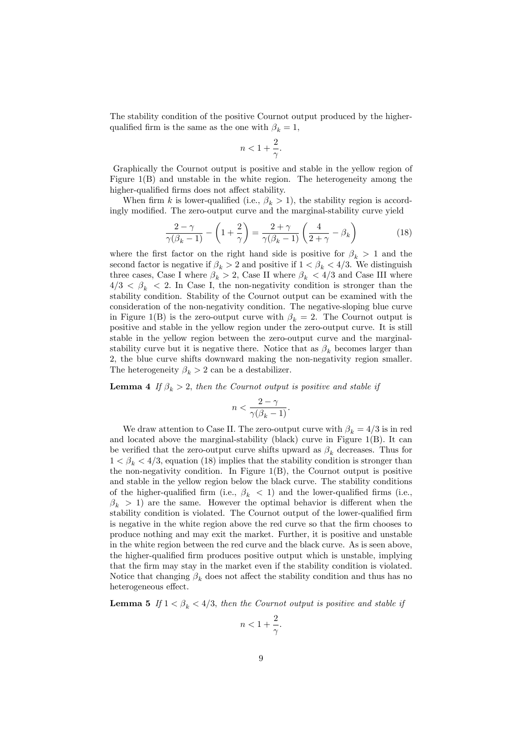The stability condition of the positive Cournot output produced by the higherqualified firm is the same as the one with  $\beta_k = 1$ ,

$$
n<1+\frac{2}{\gamma}.
$$

Graphically the Cournot output is positive and stable in the yellow region of Figure 1(B) and unstable in the white region. The heterogeneity among the higher-qualified firms does not affect stability.

When firm k is lower-qualified (i.e.,  $\beta_k > 1$ ), the stability region is accordingly modified. The zero-output curve and the marginal-stability curve yield

$$
\frac{2-\gamma}{\gamma(\beta_k-1)} - \left(1+\frac{2}{\gamma}\right) = \frac{2+\gamma}{\gamma(\beta_k-1)} \left(\frac{4}{2+\gamma} - \beta_k\right)
$$
(18)

where the first factor on the right hand side is positive for  $\beta_k > 1$  and the second factor is negative if  $\beta_k > 2$  and positive if  $1 < \beta_k < 4/3$ . We distinguish three cases, Case I where  $\beta_k > 2$ , Case II where  $\beta_k < 4/3$  and Case III where  $4/3 < \beta_k < 2$ . In Case I, the non-negativity condition is stronger than the stability condition. Stability of the Cournot output can be examined with the consideration of the non-negativity condition. The negative-sloping blue curve in Figure 1(B) is the zero-output curve with  $\beta_k = 2$ . The Cournot output is positive and stable in the yellow region under the zero-output curve. It is still stable in the yellow region between the zero-output curve and the marginalstability curve but it is negative there. Notice that as  $\beta_k$  becomes larger than 2; the blue curve shifts downward making the non-negativity region smaller. The heterogeneity  $\beta_k > 2$  can be a destabilizer.

**Lemma 4** If  $\beta_k > 2$ , then the Cournot output is positive and stable if

$$
n < \frac{2-\gamma}{\gamma(\beta_k - 1)}.
$$

We draw attention to Case II. The zero-output curve with  $\beta_k = 4/3$  is in red and located above the marginal-stability (black) curve in Figure 1(B). It can be verified that the zero-output curve shifts upward as  $\beta_k$  decreases. Thus for  $1 < \beta_k < 4/3$ , equation (18) implies that the stability condition is stronger than the non-negativity condition. In Figure 1(B), the Cournot output is positive and stable in the yellow region below the black curve. The stability conditions of the higher-qualified firm (i.e.,  $\beta_k$  < 1) and the lower-qualified firms (i.e.,  $\beta_k > 1$ ) are the same. However the optimal behavior is different when the stability condition is violated. The Cournot output of the lower-qualified firm is negative in the white region above the red curve so that the firm chooses to produce nothing and may exit the market. Further, it is positive and unstable in the white region between the red curve and the black curve. As is seen above, the higher-qualified firm produces positive output which is unstable, implying that the firm may stay in the market even if the stability condition is violated. Notice that changing  $\beta_k$  does not affect the stability condition and thus has no heterogeneous effect.

**Lemma 5** If  $1 < \beta_k < 4/3$ , then the Cournot output is positive and stable if

$$
n<1+\frac{2}{\gamma}.
$$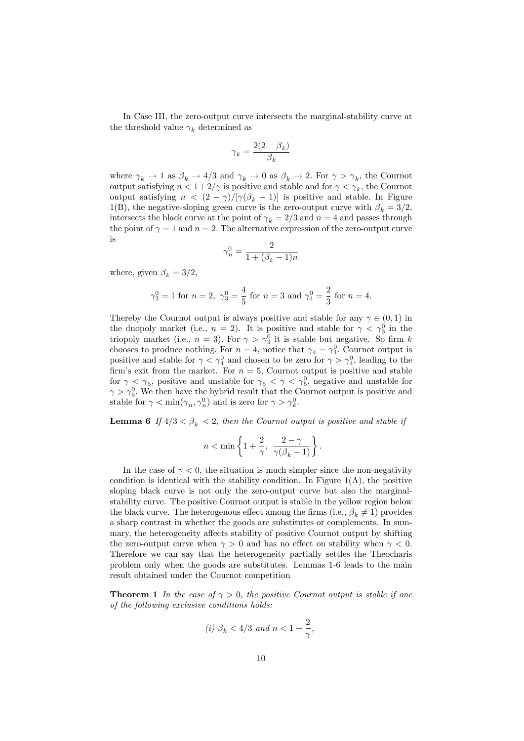In Case III, the zero-output curve intersects the marginal-stability curve at the threshold value  $\gamma_k$  determined as

$$
\gamma_k = \frac{2(2-\beta_k)}{\beta_k}
$$

where  $\gamma_k \to 1$  as  $\beta_k \to 4/3$  and  $\gamma_k \to 0$  as  $\beta_k \to 2$ . For  $\gamma > \gamma_k$ , the Cournot output satisfying  $n < 1+2/\gamma$  is positive and stable and for  $\gamma < \gamma_k$ , the Cournot output satisfying  $n < (2 - \gamma)/[\gamma(\beta_k - 1)]$  is positive and stable. In Figure 1(B), the negative-sloping green curve is the zero-output curve with  $\beta_k = 3/2$ , intersects the black curve at the point of  $\gamma_k = 2/3$  and  $n = 4$  and passes through the point of  $\gamma = 1$  and  $n = 2$ . The alternative expression of the zero-output curve is

$$
\gamma_n^0 = \frac{2}{1 + (\beta_k - 1)n}
$$

where, given  $\beta_k = 3/2$ ,

$$
\gamma_2^0 = 1
$$
 for  $n = 2$ ,  $\gamma_3^0 = \frac{4}{5}$  for  $n = 3$  and  $\gamma_4^0 = \frac{2}{3}$  for  $n = 4$ .

Thereby the Cournot output is always positive and stable for any  $\gamma \in (0,1)$  in the duopoly market (i.e.,  $n = 2$ ). It is positive and stable for  $\gamma < \gamma_3^0$  in the triopoly market (i.e.,  $n = 3$ ). For  $\gamma > \gamma_3^0$  it is stable but negative. So firm k chooses to produce nothing. For  $n = 4$ , notice that  $\gamma_4 = \gamma_4^0$ . Cournot output is positive and stable for  $\gamma < \gamma_4^0$  and chosen to be zero for  $\gamma > \gamma_4^0$ , leading to the firm's exit from the market. For  $n = 5$ , Cournot output is positive and stable for  $\gamma < \gamma_5$ , positive and unstable for  $\gamma_5 < \gamma < \gamma_5^0$ , negative and unstable for  $\gamma > \gamma_5^0$ . We then have the hybrid result that the Cournot output is positive and stable for  $\gamma < \min(\gamma_n, \gamma_n^0)$  and is zero for  $\gamma > \gamma_k^0$ .

**Lemma 6** If  $4/3 < \beta_k < 2$ , then the Cournot output is positive and stable if

$$
n<\min\left\{1+\frac{2}{\gamma},\ \frac{2-\gamma}{\gamma(\beta_k-1)}\right\}.
$$

In the case of  $\gamma < 0$ , the situation is much simpler since the non-negativity condition is identical with the stability condition. In Figure  $1(A)$ , the positive sloping black curve is not only the zero-output curve but also the marginalstability curve. The positive Cournot output is stable in the yellow region below the black curve. The heterogenous effect among the firms (i.e.,  $\beta_k \neq 1$ ) provides a sharp contrast in whether the goods are substitutes or complements. In summary, the heterogeneity affects stability of positive Cournot output by shifting the zero-output curve when  $\gamma > 0$  and has no effect on stability when  $\gamma < 0$ . Therefore we can say that the heterogeneity partially settles the Theocharis problem only when the goods are substitutes. Lemmas 1-6 leads to the main result obtained under the Cournot competition

**Theorem 1** In the case of  $\gamma > 0$ , the positive Cournot output is stable if one of the following exclusive conditions holds:

$$
(i)\ \beta_k<4/3\ \ and\ n<1+\frac{2}{\gamma},
$$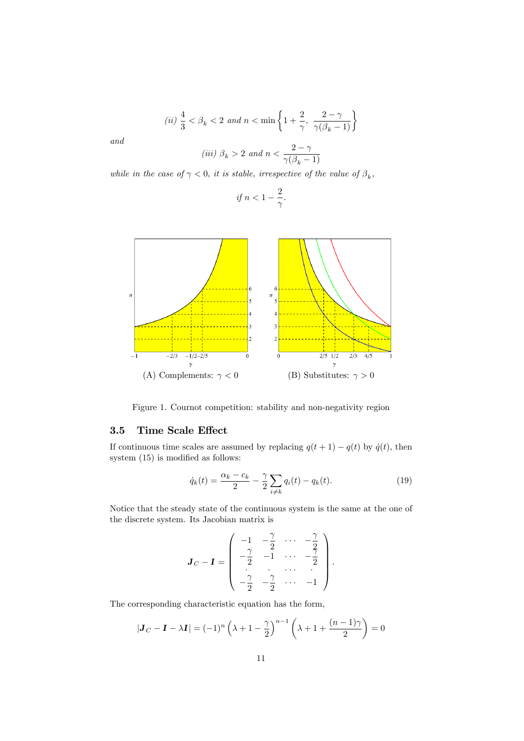$$
(ii) \ \frac{4}{3} < \beta_k < 2 \ and \ n < \min\left\{1 + \frac{2}{\gamma}, \ \frac{2 - \gamma}{\gamma(\beta_k - 1)}\right\}
$$

and

$$
(iii) \beta_k > 2 \text{ and } n < \frac{2-\gamma}{\gamma(\beta_k - 1)}
$$

while in the case of  $\gamma < 0$ , it is stable, irrespective of the value of  $\beta_k$ ,

$$
if n < 1 - \frac{2}{\gamma}.
$$



Figure 1. Cournot competition: stability and non-negativity region

## 3.5 Time Scale Effect

If continuous time scales are assumed by replacing  $q(t + 1) - q(t)$  by  $\dot{q}(t)$ , then system  $(15)$  is modified as follows:

$$
\dot{q}_k(t) = \frac{\alpha_k - c_k}{2} - \frac{\gamma}{2} \sum_{i \neq k} q_i(t) - q_k(t).
$$
 (19)

:

Notice that the steady state of the continuous system is the same at the one of the discrete system. Its Jacobian matrix is

$$
\mathbf{J}_C - \mathbf{I} = \begin{pmatrix} -1 & -\frac{\gamma}{2} & \cdots & -\frac{\gamma}{2} \\ -\frac{\gamma}{2} & -1 & \cdots & -\frac{\gamma}{2} \\ \vdots & \vdots & \ddots & \vdots \\ -\frac{\gamma}{2} & -\frac{\gamma}{2} & \cdots & -1 \end{pmatrix}
$$

The corresponding characteristic equation has the form,

$$
|\mathbf{J}_C - \mathbf{I} - \lambda \mathbf{I}| = (-1)^n \left(\lambda + 1 - \frac{\gamma}{2}\right)^{n-1} \left(\lambda + 1 + \frac{(n-1)\gamma}{2}\right) = 0
$$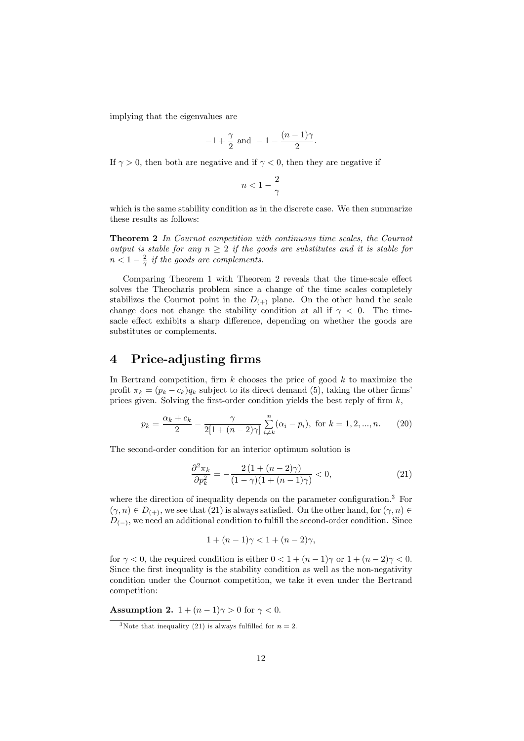implying that the eigenvalues are

$$
-1 + \frac{\gamma}{2}
$$
 and  $-1 - \frac{(n-1)\gamma}{2}$ .

If  $\gamma > 0$ , then both are negative and if  $\gamma < 0$ , then they are negative if

$$
n<1-\frac{2}{\gamma}
$$

which is the same stability condition as in the discrete case. We then summarize these results as follows:

Theorem 2 In Cournot competition with continuous time scales, the Cournot output is stable for any  $n \geq 2$  if the goods are substitutes and it is stable for  $n < 1 - \frac{2}{\gamma}$  if the goods are complements.

Comparing Theorem 1 with Theorem 2 reveals that the time-scale effect solves the Theocharis problem since a change of the time scales completely stabilizes the Cournot point in the  $D_{(+)}$  plane. On the other hand the scale change does not change the stability condition at all if  $\gamma < 0$ . The timesacle effect exhibits a sharp difference, depending on whether the goods are substitutes or complements.

## 4 Price-adjusting firms

In Bertrand competition, firm  $k$  chooses the price of good  $k$  to maximize the profit  $\pi_k = (p_k - c_k)q_k$  subject to its direct demand (5), taking the other firms prices given. Solving the first-order condition yields the best reply of firm  $k$ ,

$$
p_k = \frac{\alpha_k + c_k}{2} - \frac{\gamma}{2[1 + (n-2)\gamma]} \sum_{i \neq k}^{n} (\alpha_i - p_i), \text{ for } k = 1, 2, ..., n. \tag{20}
$$

The second-order condition for an interior optimum solution is

$$
\frac{\partial^2 \pi_k}{\partial p_k^2} = -\frac{2\left(1 + (n-2)\gamma\right)}{(1-\gamma)\left(1 + (n-1)\gamma\right)} < 0,\tag{21}
$$

where the direction of inequality depends on the parameter configuration.<sup>3</sup> For  $(\gamma, n) \in D_{(+)},$  we see that (21) is always satisfied. On the other hand, for  $(\gamma, n) \in$  $D_{(-)}$ , we need an additional condition to fulfill the second-order condition. Since

$$
1 + (n - 1)\gamma < 1 + (n - 2)\gamma
$$

for  $\gamma < 0$ , the required condition is either  $0 < 1 + (n-1)\gamma$  or  $1 + (n-2)\gamma < 0$ . Since the first inequality is the stability condition as well as the non-negativity condition under the Cournot competition, we take it even under the Bertrand competition:

Assumption 2.  $1 + (n-1)\gamma > 0$  for  $\gamma < 0$ .

<sup>&</sup>lt;sup>3</sup>Note that inequality (21) is always fulfilled for  $n = 2$ .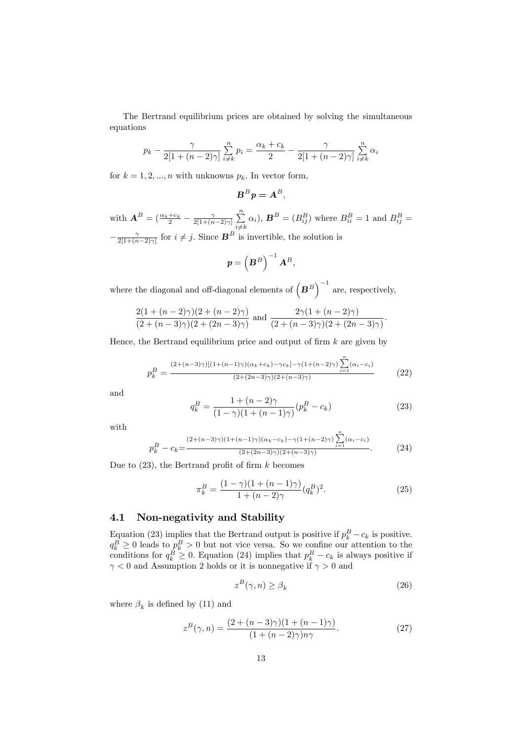The Bertrand equilibrium prices are obtained by solving the simultaneous equations

$$
p_k - \frac{\gamma}{2[1 + (n-2)\gamma]} \sum_{i \neq k}^{n} p_i = \frac{\alpha_k + c_k}{2} - \frac{\gamma}{2[1 + (n-2)\gamma]} \sum_{i \neq k}^{n} \alpha_i
$$

for  $k = 1, 2, ..., n$  with unknowns  $p_k$ . In vector form,

$$
B^B p = A^B,
$$

with  $\mathbf{A}^B = \left( \frac{\alpha_k + c_k}{2} - \frac{\gamma}{2[1 + (n-2)\gamma]} \sum_{i=1}^n \right)$  $i \neq k$  $\alpha_i$ ,  $\mathbf{B}^B = (B_{ij}^B)$  where  $B_{ii}^B = 1$  and  $B_{ij}^B =$  $-\frac{\gamma}{2[1+(n-2)\gamma]}$  for  $i \neq j$ . Since  $\mathbf{B}^B$  is invertible, the solution is

$$
\boldsymbol{p} = \left(\boldsymbol{B}^B\right)^{-1}\boldsymbol{A}^B,
$$

where the diagonal and off-diagonal elements of  $(B^B)^{-1}$  are, respectively,

$$
\frac{2(1+(n-2)\gamma)(2+(n-2)\gamma)}{(2+(n-3)\gamma)(2+(2n-3)\gamma)} \text{ and } \frac{2\gamma(1+(n-2)\gamma)}{(2+(n-3)\gamma)(2+(2n-3)\gamma)}.
$$

Hence, the Bertrand equilibrium price and output of firm  $k$  are given by

$$
p_k^B = \frac{(2 + (n-3)\gamma)[(1 + (n-1)\gamma)(\alpha_k + c_k) - \gamma c_k] - \gamma(1 + (n-2)\gamma)\sum_{i=1}^n (\alpha_i - c_i)}{(2 + (2n-3)\gamma)(2 + (n-3)\gamma)}
$$
(22)

and

$$
q_k^B = \frac{1 + (n-2)\gamma}{(1-\gamma)(1 + (n-1)\gamma)} (p_k^B - c_k)
$$
 (23)

with

$$
p_k^B - c_k = \frac{(2 + (n-3)\gamma)(1 + (n-1)\gamma)(\alpha_k - c_k) - \gamma(1 + (n-2)\gamma)\sum_{i=1}^n (\alpha_i - c_i)}{(2 + (2n-3)\gamma)(2 + (n-3)\gamma)}.
$$
 (24)

Due to  $(23)$ , the Bertrand profit of firm k becomes

$$
\pi_k^B = \frac{(1 - \gamma)(1 + (n - 1)\gamma)}{1 + (n - 2)\gamma} (q_k^B)^2.
$$
\n(25)

## 4.1 Non-negativity and Stability

Equation (23) implies that the Bertrand output is positive if  $p_k^B - c_k$  is positive.  $q_k^B \geq 0$  leads to  $p_k^B > 0$  but not vice versa. So we confine our attention to the conditions for  $q_k^B \ge 0$ . Equation (24) implies that  $p_k^B - c_k$  is always positive if  $\gamma < 0$  and Assumption 2 holds or it is nonnegative if  $\gamma > 0$  and

$$
z^{B}(\gamma, n) \ge \beta_{k} \tag{26}
$$

where  $\beta_k$  is defined by (11) and

$$
z^{B}(\gamma, n) = \frac{(2 + (n-3)\gamma)(1 + (n-1)\gamma)}{(1 + (n-2)\gamma)n\gamma}.
$$
 (27)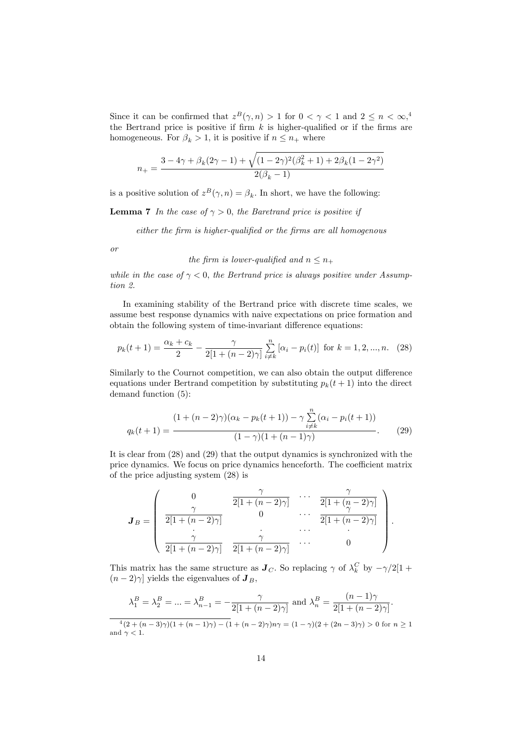Since it can be confirmed that  $z^B(\gamma, n) > 1$  for  $0 < \gamma < 1$  and  $2 \leq n < \infty$ ,<sup>4</sup> the Bertrand price is positive if firm  $k$  is higher-qualified or if the firms are homogeneous. For  $\beta_k > 1$ , it is positive if  $n \leq n_+$  where

$$
n_{+} = \frac{3 - 4\gamma + \beta_{k}(2\gamma - 1) + \sqrt{(1 - 2\gamma)^{2}(\beta_{k}^{2} + 1) + 2\beta_{k}(1 - 2\gamma^{2})}}{2(\beta_{k} - 1)}
$$

is a positive solution of  $z^B(\gamma, n) = \beta_k$ . In short, we have the following:

**Lemma 7** In the case of  $\gamma > 0$ , the Baretrand price is positive if

 $either the firm is higher-qualified or the firms are all homogeneous$ 

or

the firm is lower-qualified and 
$$
n \leq n_+
$$

while in the case of  $\gamma < 0$ , the Bertrand price is always positive under Assumption 2.

In examining stability of the Bertrand price with discrete time scales, we assume best response dynamics with naive expectations on price formation and obtain the following system of time-invariant difference equations:

$$
p_k(t+1) = \frac{\alpha_k + c_k}{2} - \frac{\gamma}{2[1 + (n-2)\gamma]} \sum_{i \neq k}^{n} [\alpha_i - p_i(t)] \text{ for } k = 1, 2, ..., n. \quad (28)
$$

Similarly to the Cournot competition, we can also obtain the output difference equations under Bertrand competition by substituting  $p_k(t+1)$  into the direct demand function (5):

$$
q_k(t+1) = \frac{(1 + (n-2)\gamma)(\alpha_k - p_k(t+1)) - \gamma \sum_{i \neq k}^{n} (\alpha_i - p_i(t+1))}{(1 - \gamma)(1 + (n-1)\gamma)}.
$$
 (29)

It is clear from (28) and (29) that the output dynamics is synchronized with the price dynamics. We focus on price dynamics henceforth. The coefficient matrix of the price adjusting system (28) is

$$
\mathbf{J}_B = \left( \begin{array}{cccc} 0 & \overbrace{\frac{\gamma}{2[1 + (n-2)\gamma]}} & \cdots & \overbrace{\frac{\gamma}{2[1 + (n-2)\gamma]}} \\ \frac{\gamma}{2[1 + (n-2)\gamma]} & 0 & \cdots & \overbrace{\frac{\gamma}{2[1 + (n-2)\gamma]}} \\ \vdots & \vdots & \ddots & \vdots \\ \frac{\gamma}{2[1 + (n-2)\gamma]} & \overbrace{\frac{\gamma}{2[1 + (n-2)\gamma]}} & \cdots & 0 \end{array} \right).
$$

This matrix has the same structure as  $J_C$ . So replacing  $\gamma$  of  $\lambda_k^C$  by  $-\gamma/2[1 +$  $(n-2)\gamma$  yields the eigenvalues of  $J_B$ ,

$$
\lambda_1^B = \lambda_2^B = \dots = \lambda_{n-1}^B = -\frac{\gamma}{2[1 + (n-2)\gamma]} \text{ and } \lambda_n^B = \frac{(n-1)\gamma}{2[1 + (n-2)\gamma]}.
$$
  

$$
\lambda_1^B = \frac{(n-1)\gamma}{2[1 + (n-2)\gamma]}.
$$
  

$$
\lambda_1^C = \frac{(n-1)\gamma}{2[1 + (n-2)\gamma]}.
$$

<sup>4</sup>  $(2 + (n-3)\gamma)(1 + (n-1)\gamma) - (1 + (n-2)\gamma)n\gamma = (1 - \gamma)(2 + (2n-3)\gamma) > 0$  for  $n \ge 1$ and  $\gamma < 1$ .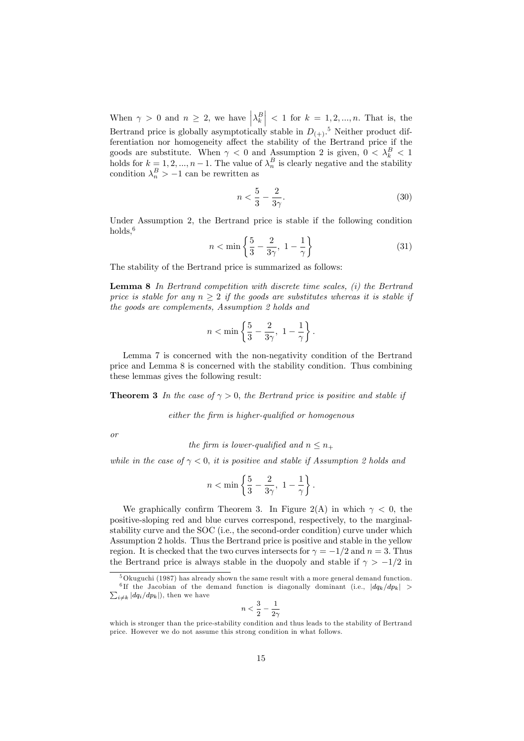When  $\gamma > 0$  and  $n \geq 2$ , we have  $\left|\lambda_k^B\right| < 1$  for  $k = 1, 2, ..., n$ . That is, the Bertrand price is globally asymptotically stable in  $D_{(+)}$ .<sup>5</sup> Neither product differentiation nor homogeneity affect the stability of the Bertrand price if the goods are substitute. When  $\gamma < 0$  and Assumption 2 is given,  $0 < \lambda_k^B < 1$ holds for  $k = 1, 2, ..., n - 1$ . The value of  $\lambda_n^B$  is clearly negative and the stability condition  $\lambda_n^B > -1$  can be rewritten as

$$
n < \frac{5}{3} - \frac{2}{3\gamma}.\tag{30}
$$

Under Assumption 2, the Bertrand price is stable if the following condition holds,<sup>6</sup>

$$
n < \min\left\{\frac{5}{3} - \frac{2}{3\gamma}, \ 1 - \frac{1}{\gamma}\right\} \tag{31}
$$

The stability of the Bertrand price is summarized as follows:

**Lemma 8** In Bertrand competition with discrete time scales,  $(i)$  the Bertrand price is stable for any  $n \geq 2$  if the goods are substitutes whereas it is stable if the goods are complements, Assumption 2 holds and

$$
n<\min\left\{\frac{5}{3}-\frac{2}{3\gamma},\ 1-\frac{1}{\gamma}\right\}.
$$

Lemma 7 is concerned with the non-negativity condition of the Bertrand price and Lemma 8 is concerned with the stability condition. Thus combining these lemmas gives the following result:

**Theorem 3** In the case of  $\gamma > 0$ , the Bertrand price is positive and stable if

 $either the firm is higher-qualified or homogeneous$ 

or

the firm is lower-qualified and  $n \leq n_+$ 

while in the case of  $\gamma < 0$ , it is positive and stable if Assumption 2 holds and

$$
n < \min\left\{\frac{5}{3} - \frac{2}{3\gamma}, \ 1 - \frac{1}{\gamma}\right\}.
$$

We graphically confirm Theorem 3. In Figure 2(A) in which  $\gamma < 0$ , the positive-sloping red and blue curves correspond, respectively, to the marginalstability curve and the SOC (i.e., the second-order condition) curve under which Assumption 2 holds. Thus the Bertrand price is positive and stable in the yellow region. It is checked that the two curves intersects for  $\gamma = -1/2$  and  $n = 3$ . Thus the Bertrand price is always stable in the duopoly and stable if  $\gamma > -1/2$  in

$$
i<\frac{3}{2}-\frac{1}{2\gamma}
$$

 $\boldsymbol{r}$ 

<sup>&</sup>lt;sup>5</sup>Okuguchi (1987) has already shown the same result with a more general demand function. <sup>6</sup>If the Jacobian of the demand function is diagonally dominant (i.e.,  $|dq_k/dp_k|$  >  $\sum_{i \neq k} |dq_i/dp_k|$ , then we have

which is stronger than the price-stability condition and thus leads to the stability of Bertrand price. However we do not assume this strong condition in what follows.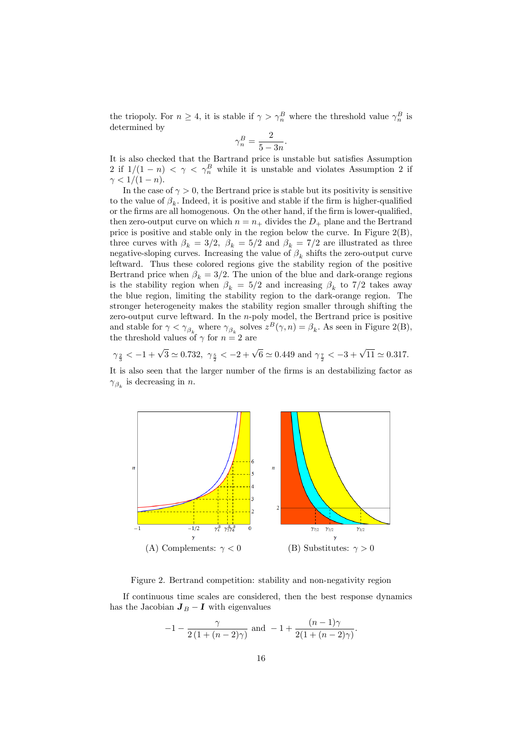the triopoly. For  $n \geq 4$ , it is stable if  $\gamma > \gamma_n^B$  where the threshold value  $\gamma_n^B$  is determined by

$$
\gamma_n^B = \frac{2}{5 - 3n}.
$$

It is also checked that the Bartrand price is unstable but satisfies Assumption 2 if  $1/(1 - n) < \gamma < \gamma_n^B$  while it is unstable and violates Assumption 2 if  $\gamma < 1/(1 - n).$ 

In the case of  $\gamma > 0$ , the Bertrand price is stable but its positivity is sensitive to the value of  $\beta_k$ . Indeed, it is positive and stable if the firm is higher-qualified or the firms are all homogenous. On the other hand, if the firm is lower-qualified, then zero-output curve on which  $n = n_+$  divides the  $D_+$  plane and the Bertrand price is positive and stable only in the region below the curve. In Figure 2(B), three curves with  $\beta_k = 3/2$ ,  $\beta_k = 5/2$  and  $\beta_k = 7/2$  are illustrated as three negative-sloping curves. Increasing the value of  $\beta_k$  shifts the zero-output curve leftward. Thus these colored regions give the stability region of the positive Bertrand price when  $\beta_k = 3/2$ . The union of the blue and dark-orange regions is the stability region when  $\beta_k = 5/2$  and increasing  $\beta_k$  to 7/2 takes away the blue region, limiting the stability region to the dark-orange region. The stronger heterogeneity makes the stability region smaller through shifting the zero-output curve leftward. In the n-poly model, the Bertrand price is positive and stable for  $\gamma < \gamma_{\beta_k}$  where  $\gamma_{\beta_k}$  solves  $z^B(\gamma, n) = \beta_k$ . As seen in Figure 2(B), the threshold values of  $\gamma$  for  $n=2$  are

$$
\gamma_{\frac{2}{3}} < -1+\sqrt{3} \simeq 0.732, \,\, \gamma_{\frac{5}{2}} < -2+\sqrt{6} \simeq 0.449 \,\, \text{and} \,\, \gamma_{\frac{7}{2}} < -3+\sqrt{11} \simeq 0.317.
$$

It is also seen that the larger number of the firms is an destabilizing factor as  $\gamma_{\beta_k}$  is decreasing in *n*.



Figure 2. Bertrand competition: stability and non-negativity region

If continuous time scales are considered, then the best response dynamics has the Jacobian  $J_B - I$  with eigenvalues

$$
-1 - \frac{\gamma}{2(1 + (n-2)\gamma)} \text{ and } -1 + \frac{(n-1)\gamma}{2(1 + (n-2)\gamma)}.
$$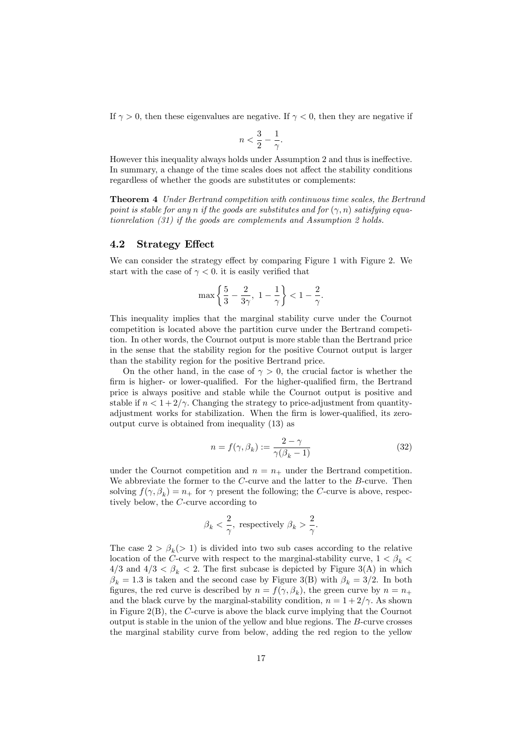If  $\gamma > 0$ , then these eigenvalues are negative. If  $\gamma < 0$ , then they are negative if

$$
n < \frac{3}{2} - \frac{1}{\gamma}.
$$

However this inequality always holds under Assumption 2 and thus is ineffective. In summary, a change of the time scales does not affect the stability conditions regardless of whether the goods are substitutes or complements:

Theorem 4 Under Bertrand competition with continuous time scales, the Bertrand point is stable for any n if the goods are substitutes and for  $(\gamma, n)$  satisfying equationrelation (31) if the goods are complements and Assumption 2 holds.

### 4.2 Strategy Effect

We can consider the strategy effect by comparing Figure 1 with Figure 2. We start with the case of  $\gamma < 0$ . it is easily verified that

$$
\max\left\{\frac{5}{3}-\frac{2}{3\gamma},\ 1-\frac{1}{\gamma}\right\}<1-\frac{2}{\gamma}.
$$

This inequality implies that the marginal stability curve under the Cournot competition is located above the partition curve under the Bertrand competition. In other words, the Cournot output is more stable than the Bertrand price in the sense that the stability region for the positive Cournot output is larger than the stability region for the positive Bertrand price.

On the other hand, in the case of  $\gamma > 0$ , the crucial factor is whether the firm is higher- or lower-qualified. For the higher-qualified firm, the Bertrand price is always positive and stable while the Cournot output is positive and stable if  $n < 1+2/\gamma$ . Changing the strategy to price-adjustment from quantityadjustment works for stabilization. When the firm is lower-qualified, its zerooutput curve is obtained from inequality (13) as

$$
n = f(\gamma, \beta_k) := \frac{2 - \gamma}{\gamma(\beta_k - 1)}
$$
\n(32)

under the Cournot competition and  $n = n_+$  under the Bertrand competition. We abbreviate the former to the  $C$ -curve and the latter to the  $B$ -curve. Then solving  $f(\gamma, \beta_k) = n_+$  for  $\gamma$  present the following; the C-curve is above, respectively below, the C-curve according to

$$
\beta_k < \frac{2}{\gamma}
$$
, respectively  $\beta_k > \frac{2}{\gamma}$ .

The case  $2 > \beta_k$ (> 1) is divided into two sub cases according to the relative location of the C-curve with respect to the marginal-stability curve,  $1 < \beta_k$  $4/3$  and  $4/3 < \beta_k < 2$ . The first subcase is depicted by Figure 3(A) in which  $\beta_k = 1.3$  is taken and the second case by Figure 3(B) with  $\beta_k = 3/2$ . In both figures, the red curve is described by  $n = f(\gamma, \beta_k)$ , the green curve by  $n = n_+$ and the black curve by the marginal-stability condition,  $n = 1 + 2/\gamma$ . As shown in Figure 2(B), the C-curve is above the black curve implying that the Cournot output is stable in the union of the yellow and blue regions. The B-curve crosses the marginal stability curve from below, adding the red region to the yellow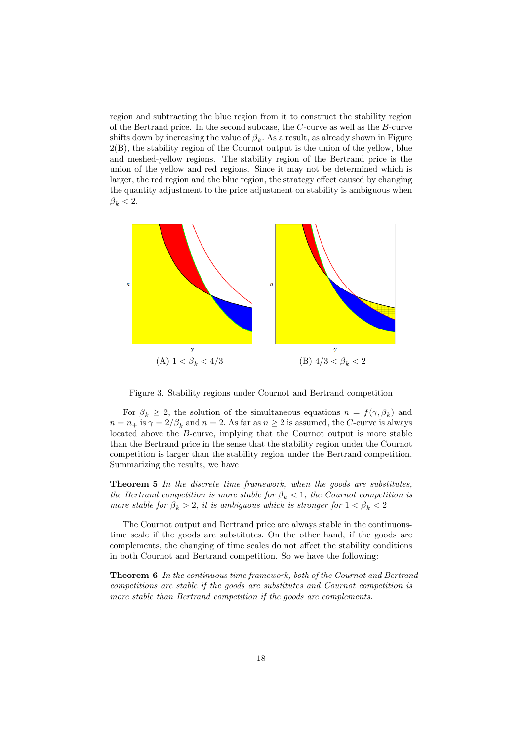region and subtracting the blue region from it to construct the stability region of the Bertrand price. In the second subcase, the C-curve as well as the B-curve shifts down by increasing the value of  $\beta_k$ . As a result, as already shown in Figure 2(B), the stability region of the Cournot output is the union of the yellow, blue and meshed-yellow regions. The stability region of the Bertrand price is the union of the yellow and red regions. Since it may not be determined which is larger, the red region and the blue region, the strategy effect caused by changing the quantity adjustment to the price adjustment on stability is ambiguous when  $\beta_k < 2$ .



Figure 3. Stability regions under Cournot and Bertrand competition

For  $\beta_k \geq 2$ , the solution of the simultaneous equations  $n = f(\gamma, \beta_k)$  and  $n = n_+$  is  $\gamma = 2/\beta_k$  and  $n = 2$ . As far as  $n \geq 2$  is assumed, the C-curve is always located above the B-curve, implying that the Cournot output is more stable than the Bertrand price in the sense that the stability region under the Cournot competition is larger than the stability region under the Bertrand competition. Summarizing the results, we have

Theorem 5 In the discrete time framework, when the goods are substitutes, the Bertrand competition is more stable for  $\beta_k < 1$ , the Cournot competition is more stable for  $\beta_k > 2$ , it is ambiguous which is stronger for  $1 < \beta_k < 2$ 

The Cournot output and Bertrand price are always stable in the continuoustime scale if the goods are substitutes. On the other hand, if the goods are complements, the changing of time scales do not affect the stability conditions in both Cournot and Bertrand competition. So we have the following:

Theorem 6 In the continuous time framework, both of the Cournot and Bertrand competitions are stable if the goods are substitutes and Cournot competition is more stable than Bertrand competition if the goods are complements.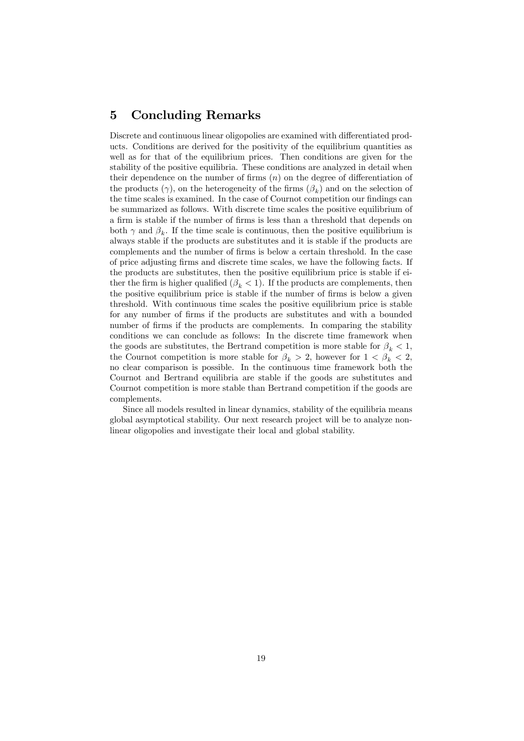## 5 Concluding Remarks

Discrete and continuous linear oligopolies are examined with differentiated products. Conditions are derived for the positivity of the equilibrium quantities as well as for that of the equilibrium prices. Then conditions are given for the stability of the positive equilibria. These conditions are analyzed in detail when their dependence on the number of firms  $(n)$  on the degree of differentiation of the products  $(\gamma)$ , on the heterogeneity of the firms  $(\beta_k)$  and on the selection of the time scales is examined. In the case of Cournot competition our findings can be summarized as follows. With discrete time scales the positive equilibrium of a firm is stable if the number of firms is less than a threshold that depends on both  $\gamma$  and  $\beta_k$ . If the time scale is continuous, then the positive equilibrium is always stable if the products are substitutes and it is stable if the products are complements and the number of firms is below a certain threshold. In the case of price adjusting Örms and discrete time scales, we have the following facts. If the products are substitutes, then the positive equilibrium price is stable if either the firm is higher qualified  $(\beta_k < 1)$ . If the products are complements, then the positive equilibrium price is stable if the number of firms is below a given threshold. With continuous time scales the positive equilibrium price is stable for any number of Örms if the products are substitutes and with a bounded number of firms if the products are complements. In comparing the stability conditions we can conclude as follows: In the discrete time framework when the goods are substitutes, the Bertrand competition is more stable for  $\beta_k < 1$ , the Cournot competition is more stable for  $\beta_k > 2$ , however for  $1 < \beta_k < 2$ , no clear comparison is possible. In the continuous time framework both the Cournot and Bertrand equilibria are stable if the goods are substitutes and Cournot competition is more stable than Bertrand competition if the goods are complements.

Since all models resulted in linear dynamics, stability of the equilibria means global asymptotical stability. Our next research project will be to analyze nonlinear oligopolies and investigate their local and global stability.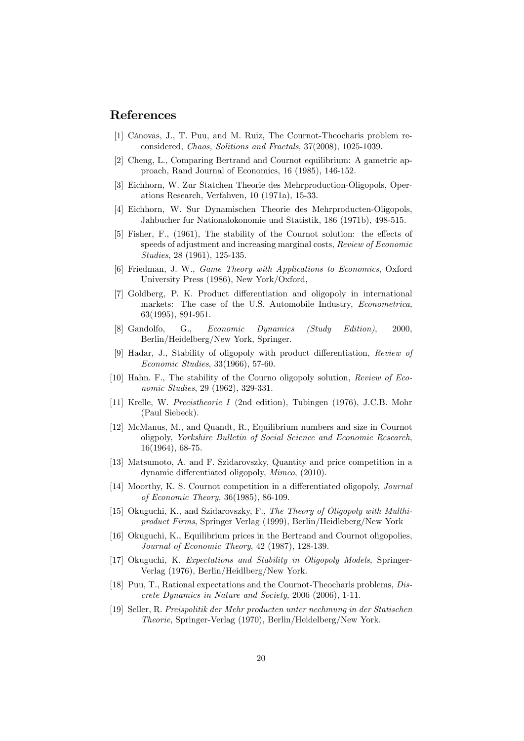## References

- [1] Cánovas, J., T. Puu, and M. Ruiz, The Cournot-Theocharis problem reconsidered, Chaos, Solitions and Fractals, 37(2008), 1025-1039.
- [2] Cheng, L., Comparing Bertrand and Cournot equilibrium: A gametric approach, Rand Journal of Economics, 16 (1985), 146-152.
- [3] Eichhorn, W. Zur Statchen Theorie des Mehrproduction-Oligopols, Operations Research, Verfahven, 10 (1971a), 15-33.
- [4] Eichhorn, W. Sur Dynamischen Theorie des Mehrproducten-Oligopols, Jahbucher fur Nationalokonomie und Statistik, 186 (1971b), 498-515.
- $[5]$  Fisher, F.,  $(1961)$ , The stability of the Cournot solution: the effects of speeds of adjustment and increasing marginal costs, Review of Economic Studies, 28 (1961), 125-135.
- [6] Friedman, J. W., Game Theory with Applications to Economics, Oxford University Press (1986), New York/Oxford,
- [7] Goldberg, P. K. Product differentiation and oligopoly in international markets: The case of the U.S. Automobile Industry, Econometrica, 63(1995), 891-951.
- [8] Gandolfo, G., Economic Dynamics (Study Edition), 2000, Berlin/Heidelberg/New York, Springer.
- [9] Hadar, J., Stability of oligopoly with product differentiation, Review of Economic Studies, 33(1966), 57-60.
- [10] Hahn. F., The stability of the Courno oligopoly solution, Review of Economic Studies, 29 (1962), 329-331.
- [11] Krelle, W. Precistheorie I (2nd edition), Tubingen (1976), J.C.B. Mohr (Paul Siebeck).
- [12] McManus, M., and Quandt, R., Equilibrium numbers and size in Cournot oligpoly, Yorkshire Bulletin of Social Science and Economic Research, 16(1964), 68-75.
- [13] Matsumoto, A. and F. Szidarovszky, Quantity and price competition in a dynamic differentiated oligopoly, *Mimeo*, (2010).
- [14] Moorthy, K. S. Cournot competition in a differentiated oligopoly, *Journal* of Economic Theory, 36(1985), 86-109.
- [15] Okuguchi, K., and Szidarovszky, F., The Theory of Oligopoly with Multhiproduct Firms, Springer Verlag (1999), Berlin/Heidleberg/New York
- [16] Okuguchi, K., Equilibrium prices in the Bertrand and Cournot oligopolies, Journal of Economic Theory, 42 (1987), 128-139.
- [17] Okuguchi, K. Expectations and Stability in Oligopoly Models, Springer-Verlag (1976), Berlin/Heidlberg/New York.
- [18] Puu, T., Rational expectations and the Cournot-Theocharis problems, Discrete Dynamics in Nature and Society, 2006 (2006), 1-11.
- [19] Seller, R. Preispolitik der Mehr producten unter nechmung in der Statischen Theorie, Springer-Verlag (1970), Berlin/Heidelberg/New York.